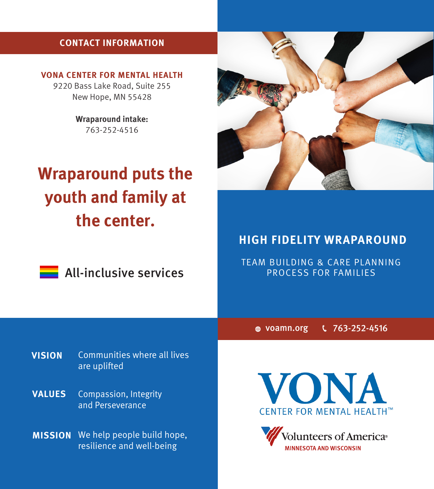# **CONTACT INFORMATION**

**VONA CENTER FOR MENTAL HEALTH** 9220 Bass Lake Road, Suite 255

New Hope, MN 55428

**Wraparound intake:**  763-252-4516

# **Wraparound puts the youth and family at the center.**



**All-inclusive services** 



# **HIGH FIDELITY WRAPAROUND**

TEAM BUILDING & CARE PLANNING PROCESS FOR FAMILIES

voamn.org 763-252-4516

**VISION** Communities where all lives are uplifted

Compassion, Integrity and Perseverance **VALUES**

**MISSION** We help people build hope, resilience and well-being



**Volunteers of America**® **MINNESOTA AND WISCONSIN**